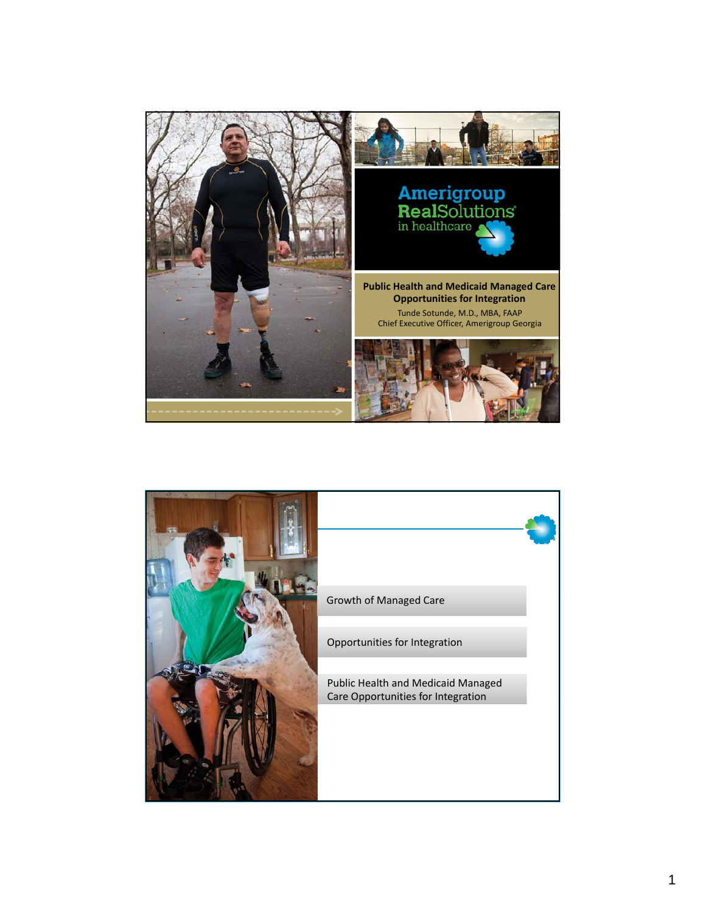

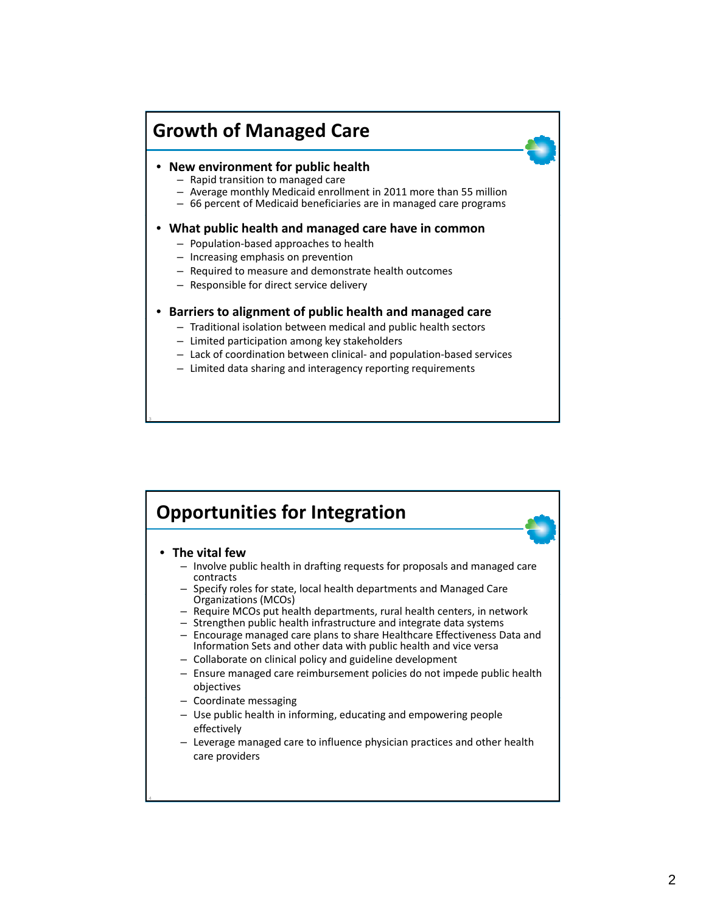## **Growth of Managed Care**

## • **New environment for public health** – Rapid transition to managed care

- 
- Average monthly Medicaid enrollment in 2011 more than 55 million
- 66 percent of Medicaid beneficiaries are in managed care programs

## • **What public health and managed care have in common**

- Population‐based approaches to health
- Increasing emphasis on prevention

3

- Required to measure and demonstrate health outcomes
- Responsible for direct service delivery

## • **Barriers to alignment of public health and managed care**

- Traditional isolation between medical and public health sectors
- Limited participation among key stakeholders
- Lack of coordination between clinical‐ and population‐based services
- Limited data sharing and interagency reporting requirements